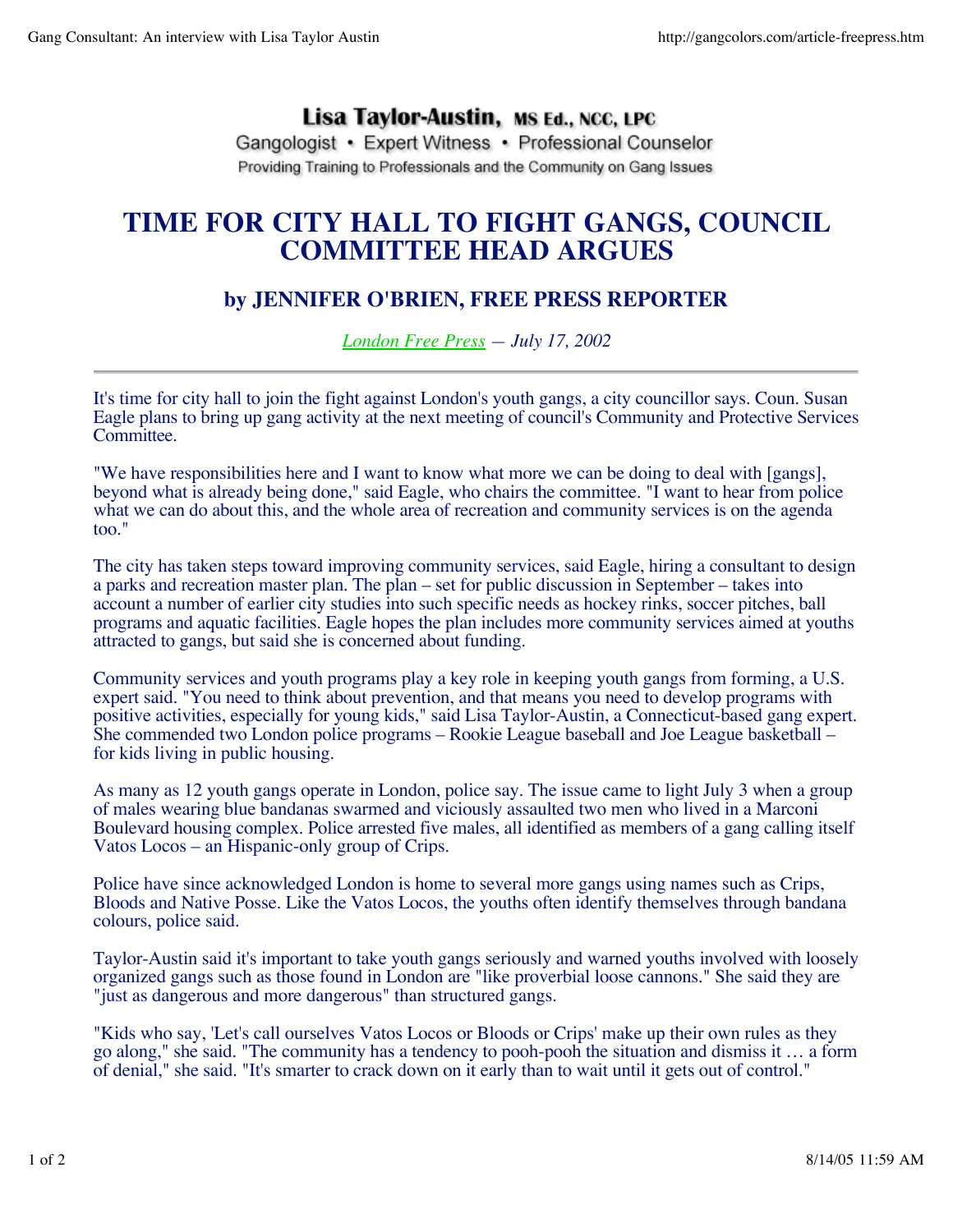## Lisa Taylor-Austin, MS Ed., NCC, LPC

Gangologist • Expert Witness • Professional Counselor Providing Training to Professionals and the Community on Gang Issues

## **TIME FOR CITY HALL TO FIGHT GANGS, COUNCIL COMMITTEE HEAD ARGUES**

## **by JENNIFER O'BRIEN, FREE PRESS REPORTER**

*London Free Press — July 17, 2002*

It's time for city hall to join the fight against London's youth gangs, a city councillor says. Coun. Susan Eagle plans to bring up gang activity at the next meeting of council's Community and Protective Services Committee.

"We have responsibilities here and I want to know what more we can be doing to deal with [gangs], beyond what is already being done," said Eagle, who chairs the committee. "I want to hear from police what we can do about this, and the whole area of recreation and community services is on the agenda too."

The city has taken steps toward improving community services, said Eagle, hiring a consultant to design a parks and recreation master plan. The plan – set for public discussion in September – takes into account a number of earlier city studies into such specific needs as hockey rinks, soccer pitches, ball programs and aquatic facilities. Eagle hopes the plan includes more community services aimed at youths attracted to gangs, but said she is concerned about funding.

Community services and youth programs play a key role in keeping youth gangs from forming, a U.S. expert said. "You need to think about prevention, and that means you need to develop programs with positive activities, especially for young kids," said Lisa Taylor-Austin, a Connecticut-based gang expert. She commended two London police programs – Rookie League baseball and Joe League basketball – for kids living in public housing.

As many as 12 youth gangs operate in London, police say. The issue came to light July 3 when a group of males wearing blue bandanas swarmed and viciously assaulted two men who lived in a Marconi Boulevard housing complex. Police arrested five males, all identified as members of a gang calling itself Vatos Locos – an Hispanic-only group of Crips.

Police have since acknowledged London is home to several more gangs using names such as Crips, Bloods and Native Posse. Like the Vatos Locos, the youths often identify themselves through bandana colours, police said.

Taylor-Austin said it's important to take youth gangs seriously and warned youths involved with loosely organized gangs such as those found in London are "like proverbial loose cannons." She said they are "just as dangerous and more dangerous" than structured gangs.

"Kids who say, 'Let's call ourselves Vatos Locos or Bloods or Crips' make up their own rules as they go along," she said. "The community has a tendency to pooh-pooh the situation and dismiss it … a form of denial," she said. "It's smarter to crack down on it early than to wait until it gets out of control."